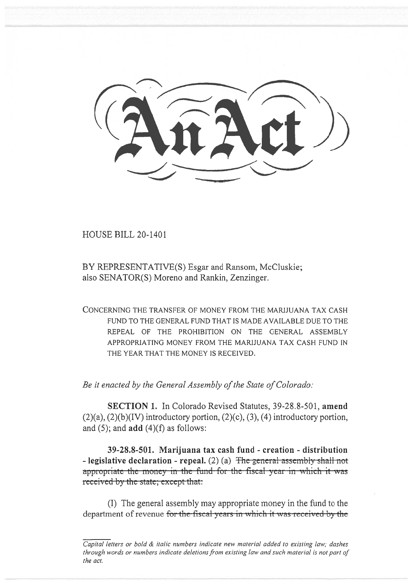HOUSE BILL 20-1401

BY REPRESENTATIVE(S) Esgar and Ransom, McCluskie; also SENATOR(S) Moreno and Rankin, Zenzinger.

CONCERNING THE TRANSFER OF MONEY FROM THE MARIJUANA TAX CASH FUND TO THE GENERAL FUND THAT IS MADE AVAILABLE DUE TO THE REPEAL OF THE PROHIBITION ON THE GENERAL ASSEMBLY APPROPRIATING MONEY FROM THE MARIJUANA TAX CASH FUND IN THE YEAR THAT THE MONEY IS RECEIVED.

*Be it enacted by the General Assembly of the State of Colorado:* 

**SECTION 1.** In Colorado Revised Statutes, 39-28.8-501, **amend**   $(2)(a)$ ,  $(2)(b)(IV)$  introductory portion,  $(2)(c)$ ,  $(3)$ ,  $(4)$  introductory portion, and (5); and **add** (4)(f) as follows:

**39-28.8-501. Marijuana tax cash fund - creation - distribution - legislative declaration - repeal.**  $(2)$  (a) The general assembly shall not appropriate the money in the fund-for the fiscal year in which it was received by the state; except that:

(I) The general assembly may appropriate money in the fund to the department of revenue for the fiscal years in which it was received by the

*Capital letters or bold & italic numbers indicate new material added to existing law; dashes through words or numbers indicate deletions from existing law and such material is not part of the act.*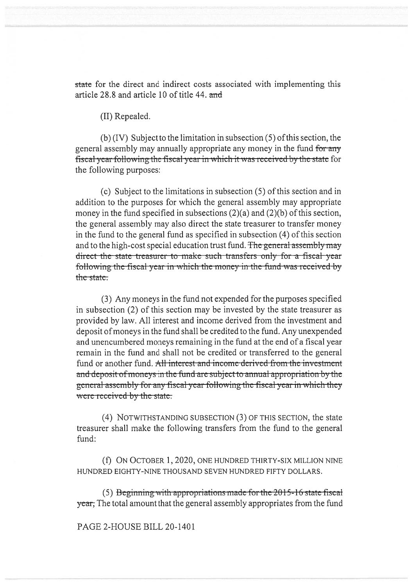state for the direct and indirect costs associated with implementing this article 28.8 and article 10 of title 44. and

(II) Repealed.

(b) (IV) Subject to the limitation in subsection (5) of this section, the general assembly may annually appropriate any money in the fund for any fiscal year following the fiscal year in which it was received by the state for the following purposes:

(c) Subject to the limitations in subsection (5) of this section and in addition to the purposes for which the general assembly may appropriate money in the fund specified in subsections  $(2)(a)$  and  $(2)(b)$  of this section, the general assembly may also direct the state treasurer to transfer money in the fund to the general fund as specified in subsection (4) of this section and to the high-cost special education trust fund. The general assembly may direct the state treasurer to make such transfers only for a fiscal year following the fiscal year in which the money in the fund was received by the state.

(3) Any moneys in the fund not expended for the purposes specified in subsection (2) of this section may be invested by the state treasurer as provided by law. All interest and income derived from the investment and deposit of moneys in the fund shall be credited to the fund. Any unexpended and unencumbered moneys remaining in the fund at the end of a fiscal year remain in the fund and shall not be credited or transferred to the general fund or another fund. All interest and income derived from the investment and deposit of moneys in the fund are subject to annual appropriation by the gcncral asscrnbly for any fiscal ycar following the fiscal ycar in which they were received by the state.

(4) NOTWITHSTANDING SUBSECTION (3) OF THIS SECTION, the state treasurer shall make the following transfers from the fund to the general fund:

(f) ON OCTOBER 1, 2020, ONE HUNDRED THIRTY-SIX MILLION NINE HUNDRED EIGHTY-NINE THOUSAND SEVEN HUNDRED FIFTY DOLLARS.

 $(5)$  Beginning with appropriations made for the 2015-16 state fiscal y **ear**, The total amount that the general assembly appropriates from the fund

## PAGE 2-HOUSE BILL 20-1401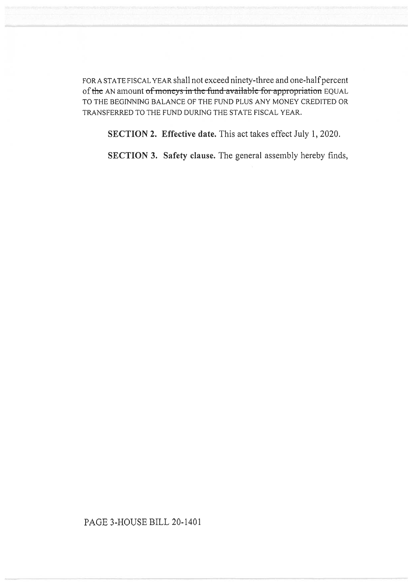FOR A STATE FISCAL YEAR shall not exceed ninety-three and one-half percent of the AN amount of moneys in the fund available for appropriation EQUAL TO THE BEGINNING BALANCE OF THE FUND PLUS ANY MONEY CREDITED OR TRANSFERRED TO THE FUND DURING THE STATE FISCAL YEAR.

SECTION 2. Effective date. This act takes effect July 1, 2020.

SECTION 3. Safety clause. The general assembly hereby finds,

PAGE 3-HOUSE BILL 20-1401